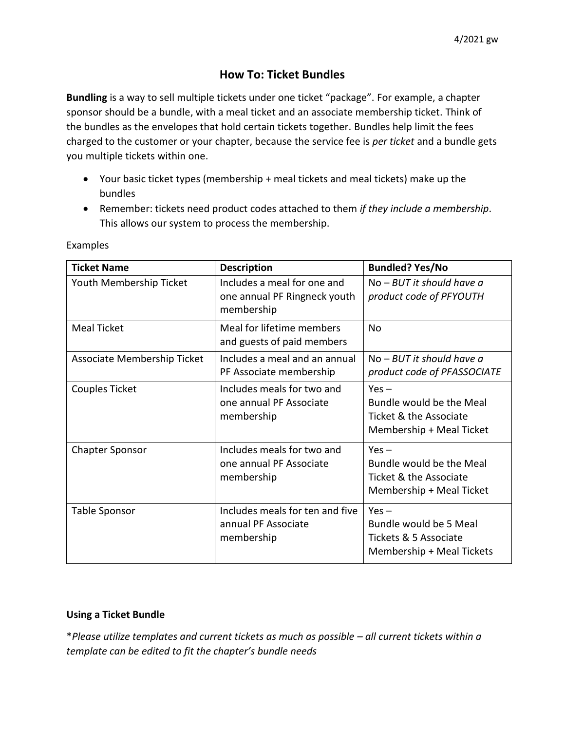## **How To: Ticket Bundles**

**Bundling** is a way to sell multiple tickets under one ticket "package". For example, a chapter sponsor should be a bundle, with a meal ticket and an associate membership ticket. Think of the bundles as the envelopes that hold certain tickets together. Bundles help limit the fees charged to the customer or your chapter, because the service fee is *per ticket* and a bundle gets you multiple tickets within one.

- Your basic ticket types (membership + meal tickets and meal tickets) make up the bundles
- Remember: tickets need product codes attached to them *if they include a membership*. This allows our system to process the membership.

| <b>Ticket Name</b>          | <b>Description</b>                                                        | <b>Bundled? Yes/No</b>                                                                    |  |  |  |
|-----------------------------|---------------------------------------------------------------------------|-------------------------------------------------------------------------------------------|--|--|--|
| Youth Membership Ticket     | Includes a meal for one and<br>one annual PF Ringneck youth<br>membership | $No-BUT$ it should have a<br>product code of PFYOUTH                                      |  |  |  |
| <b>Meal Ticket</b>          | Meal for lifetime members<br>and guests of paid members                   | N <sub>0</sub>                                                                            |  |  |  |
| Associate Membership Ticket | Includes a meal and an annual<br>PF Associate membership                  | $No-BUT$ it should have a<br>product code of PFASSOCIATE                                  |  |  |  |
| Couples Ticket              | Includes meals for two and<br>one annual PF Associate<br>membership       | $Yes -$<br>Bundle would be the Meal<br>Ticket & the Associate<br>Membership + Meal Ticket |  |  |  |
| <b>Chapter Sponsor</b>      | Includes meals for two and<br>one annual PF Associate<br>membership       | $Yes -$<br>Bundle would be the Meal<br>Ticket & the Associate<br>Membership + Meal Ticket |  |  |  |
| Table Sponsor               | Includes meals for ten and five<br>annual PF Associate<br>membership      | $Yes -$<br>Bundle would be 5 Meal<br>Tickets & 5 Associate<br>Membership + Meal Tickets   |  |  |  |

Examples

## **Using a Ticket Bundle**

\**Please utilize templates and current tickets as much as possible – all current tickets within a template can be edited to fit the chapter's bundle needs*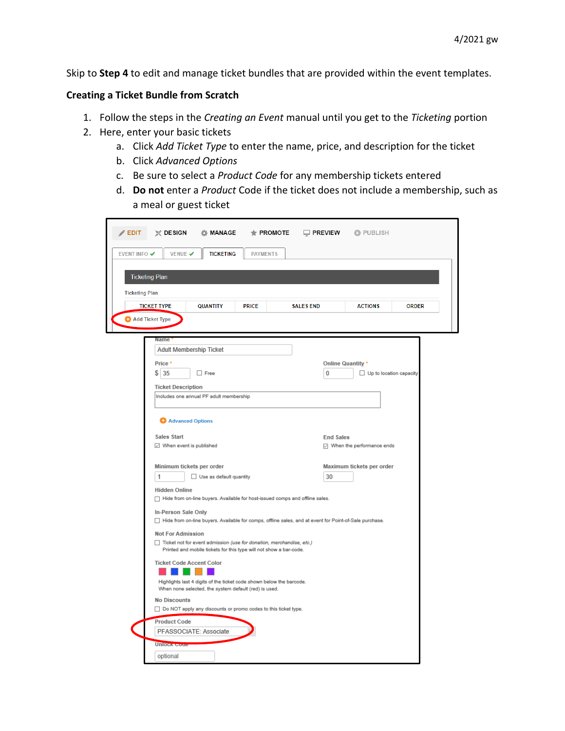Skip to **Step 4** to edit and manage ticket bundles that are provided within the event templates.

## **Creating a Ticket Bundle from Scratch**

- 1. Follow the steps in the *Creating an Event* manual until you get to the *Ticketing* portion
- 2. Here, enter your basic tickets
	- a. Click *Add Ticket Type* to enter the name, price, and description for the ticket
	- b. Click *Advanced Options*
	- c. Be sure to select a *Product Code* for any membership tickets entered
	- d. **Do not** enter a *Product* Code if the ticket does not include a membership, such as a meal or guest ticket

| $\triangle$ EDIT      | $\mathbb{X}$ DESIGN                                                                              | ☆ MANAGE                                                           |                 | $\bigstar$ PROMOTE $\Box$ PREVIEW $\Box$ PUBLISH                                                       |                   |                           |              |  |
|-----------------------|--------------------------------------------------------------------------------------------------|--------------------------------------------------------------------|-----------------|--------------------------------------------------------------------------------------------------------|-------------------|---------------------------|--------------|--|
| EVENT INFO V          | <b>VENUE ✔</b>                                                                                   | <b>TICKETING</b>                                                   | <b>PAYMENTS</b> |                                                                                                        |                   |                           |              |  |
|                       |                                                                                                  |                                                                    |                 |                                                                                                        |                   |                           |              |  |
|                       | <b>Ticketing Plan</b>                                                                            |                                                                    |                 |                                                                                                        |                   |                           |              |  |
| <b>Ticketing Plan</b> |                                                                                                  |                                                                    |                 |                                                                                                        |                   |                           |              |  |
|                       | <b>TICKET TYPE</b>                                                                               | <b>QUANTITY</b>                                                    | <b>PRICE</b>    | <b>SALES END</b>                                                                                       |                   | <b>ACTIONS</b>            | <b>ORDER</b> |  |
| Add Ticket Type       |                                                                                                  |                                                                    |                 |                                                                                                        |                   |                           |              |  |
|                       | Name                                                                                             |                                                                    |                 |                                                                                                        |                   |                           |              |  |
|                       | Adult Membership Ticket                                                                          |                                                                    |                 |                                                                                                        |                   |                           |              |  |
|                       | Price *                                                                                          | $\Box$ Free                                                        |                 |                                                                                                        | Online Quantity * |                           |              |  |
|                       | \$135                                                                                            |                                                                    |                 |                                                                                                        | 0                 | Up to location capacity   |              |  |
|                       | <b>Ticket Description</b><br>Includes one annual PF adult membership                             |                                                                    |                 |                                                                                                        |                   |                           |              |  |
|                       |                                                                                                  |                                                                    |                 |                                                                                                        |                   |                           |              |  |
|                       | Advanced Options                                                                                 |                                                                    |                 |                                                                                                        |                   |                           |              |  |
|                       | Sales Start                                                                                      |                                                                    |                 |                                                                                                        | <b>End Sales</b>  |                           |              |  |
|                       | $\boxdot$ When event is published                                                                |                                                                    |                 |                                                                                                        |                   | Mhen the performance ends |              |  |
|                       | Minimum tickets per order                                                                        |                                                                    |                 |                                                                                                        |                   | Maximum tickets per order |              |  |
|                       | 1                                                                                                | Use as default quantity                                            |                 |                                                                                                        | 30                |                           |              |  |
|                       | <b>Hidden Online</b>                                                                             |                                                                    |                 | Hide from on-line buyers. Available for host-issued comps and offline sales.                           |                   |                           |              |  |
|                       | In-Person Sale Only                                                                              |                                                                    |                 |                                                                                                        |                   |                           |              |  |
|                       |                                                                                                  |                                                                    |                 | Hide from on-line buyers. Available for comps, offline sales, and at event for Point-of-Sale purchase. |                   |                           |              |  |
|                       | <b>Not For Admission</b><br>Ticket not for event admission (use for donation, merchandise, etc.) |                                                                    |                 |                                                                                                        |                   |                           |              |  |
|                       |                                                                                                  | Printed and mobile tickets for this type will not show a bar-code. |                 |                                                                                                        |                   |                           |              |  |
|                       | <b>Ticket Code Accent Color</b>                                                                  |                                                                    |                 |                                                                                                        |                   |                           |              |  |
|                       | Highlights last 4 digits of the ticket code shown below the barcode.                             |                                                                    |                 |                                                                                                        |                   |                           |              |  |
|                       | When none selected, the system default (red) is used.<br><b>No Discounts</b>                     |                                                                    |                 |                                                                                                        |                   |                           |              |  |
|                       | □ Do NOT apply any discounts or promo codes to this ticket type.                                 |                                                                    |                 |                                                                                                        |                   |                           |              |  |
|                       | <b>Product Code</b>                                                                              |                                                                    |                 |                                                                                                        |                   |                           |              |  |
|                       | PFASSOCIATE: Associate                                                                           |                                                                    |                 |                                                                                                        |                   |                           |              |  |
|                       | <b>Unlock Coup</b><br>optional                                                                   |                                                                    |                 |                                                                                                        |                   |                           |              |  |
|                       |                                                                                                  |                                                                    |                 |                                                                                                        |                   |                           |              |  |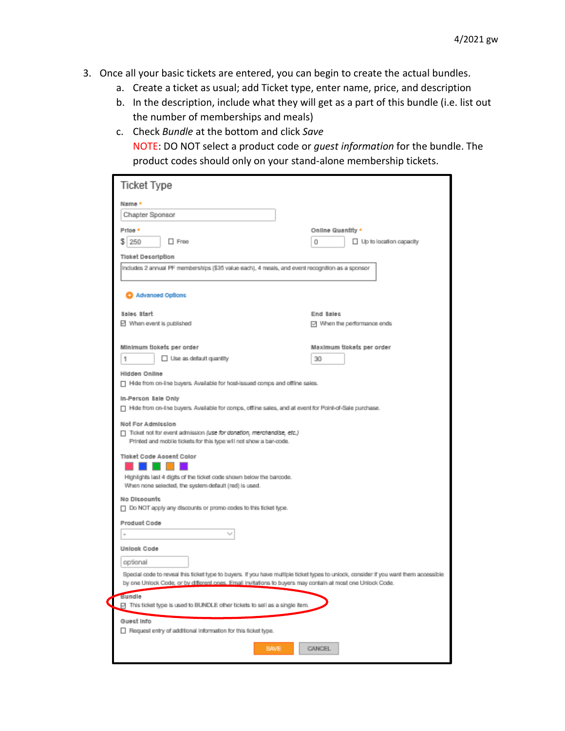- 3. Once all your basic tickets are entered, you can begin to create the actual bundles.
	- a. Create a ticket as usual; add Ticket type, enter name, price, and description
	- b. In the description, include what they will get as a part of this bundle (i.e. list out the number of memberships and meals)
	- c. Check *Bundle* at the bottom and click *Save* NOTE: DO NOT select a product code or *guest information* for the bundle. The product codes should only on your stand-alone membership tickets.

| <b>Ticket Type</b>                                                                                                                                              |                                     |
|-----------------------------------------------------------------------------------------------------------------------------------------------------------------|-------------------------------------|
| Name *                                                                                                                                                          |                                     |
| Chapter Sponsor                                                                                                                                                 |                                     |
| Price *                                                                                                                                                         | Online Quantity *                   |
| s<br>250<br>$\Box$ Free                                                                                                                                         | $\Box$ Up to location capacity<br>0 |
| <b>Ticket Description</b>                                                                                                                                       |                                     |
| Includes 2 annual PF memberships (\$35 value each), 4 meals, and event recognition as a sponsor                                                                 |                                     |
|                                                                                                                                                                 |                                     |
| Advanced Options                                                                                                                                                |                                     |
| <b>Sales Start</b>                                                                                                                                              | End Sales                           |
| ⊠ When event is published                                                                                                                                       | □ When the performance ends         |
|                                                                                                                                                                 |                                     |
| Minimum tiokets per order<br>□ Use as default quantity<br>1                                                                                                     | Maximum tickets per order<br>30     |
|                                                                                                                                                                 |                                     |
| Hidden Online<br>Hole from on-line buyers. Available for host-issued comps and offline sales.                                                                   |                                     |
| In-Person Sale Only                                                                                                                                             |                                     |
| Hole from on-line buyers. Available for comps, off ine sales, and at event for Point-of-Sale purchase.                                                          |                                     |
| Not For Admission<br>Ticket not for event admission (use for donation, merchandise, etc.)<br>Printed and mobile tickets for this type will not show a bar-code. |                                     |
| Tieket Code Assent Color<br>Highlights last 4 digits of the ticket code shown below the barcode.<br>When none selected, the system default (red) is used.       |                                     |
| No Discounts<br>□ Do NOT apply any discounts or promo codes to this ticket type.                                                                                |                                     |
| Product Code                                                                                                                                                    |                                     |
|                                                                                                                                                                 |                                     |
| Unlook Code                                                                                                                                                     |                                     |
| optional                                                                                                                                                        |                                     |
| Special code to reveal this ticket type to buyers. If you have multiple ticket types to unlook, consider if you want them accessible                            |                                     |
| by one Uniock Code, or by different ones. Email invitations to buyers may contain at most one Uniock Code.                                                      |                                     |
| Bundle<br>⊡ This ticket type is used to BUNDLE other tickets to sell as a single item.                                                                          |                                     |
| Guest Info                                                                                                                                                      |                                     |
| Request entry of additional information for this ticket type.                                                                                                   |                                     |
| <b>SAVE</b>                                                                                                                                                     | <b>CANCEL</b>                       |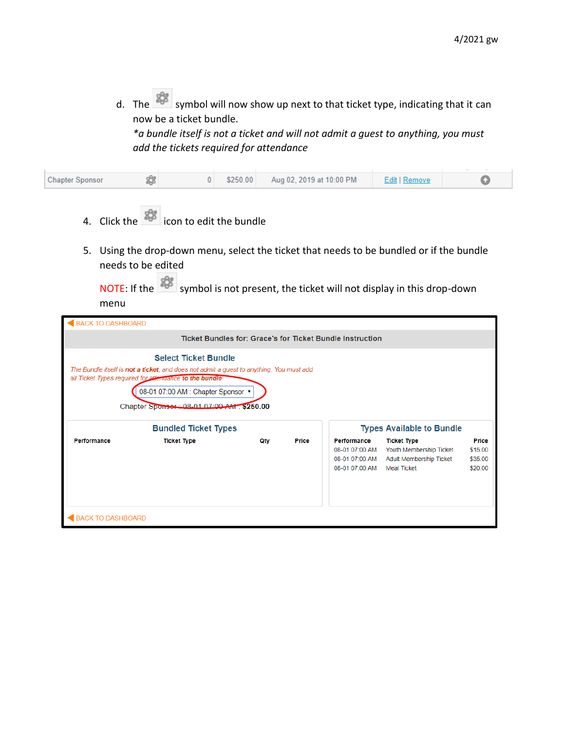d. The symbol will now show up next to that ticket type, indicating that it can now be a ticket bundle.

*\*a bundle itself is not a ticket and will not admit a guest to anything, you must add the tickets required for attendance*

- 4. Click the  $\frac{1}{2}$  icon to edit the bundle
- 5. Using the drop-down menu, select the ticket that needs to be bundled or if the bundle needs to be edited

NOTE: If the set symbol is not present, the ticket will not display in this drop-down menu

| <b>BACK TO DASHBOARD</b>                                                                                                                                                                                                                                              |                             |     |              |                                                                   |                                                                                         |                                        |  |  |
|-----------------------------------------------------------------------------------------------------------------------------------------------------------------------------------------------------------------------------------------------------------------------|-----------------------------|-----|--------------|-------------------------------------------------------------------|-----------------------------------------------------------------------------------------|----------------------------------------|--|--|
| Ticket Bundles for: Grace's for Ticket Bundle Instruction                                                                                                                                                                                                             |                             |     |              |                                                                   |                                                                                         |                                        |  |  |
| <b>Select Ticket Bundle</b><br>The Bundle itself is not a ticket, and does not admit a guest to anything. You must add<br>all Ticket Types required for attendance to the bundle!<br>08-01 07:00 AM : Chapter Sponsor ▼<br>Chapter Sponser: 08-01 07:00 AM . \$250.00 |                             |     |              |                                                                   |                                                                                         |                                        |  |  |
|                                                                                                                                                                                                                                                                       | <b>Bundled Ticket Types</b> |     |              |                                                                   | <b>Types Available to Bundle</b>                                                        |                                        |  |  |
| Performance                                                                                                                                                                                                                                                           | <b>Ticket Type</b>          | Qty | <b>Price</b> | Performance<br>08-01 07:00 AM<br>08-01 07:00 AM<br>08-01 07:00 AM | <b>Ticket Type</b><br>Youth Membership Ticket<br>Adult Membership Ticket<br>Meal Ticket | Price<br>\$15.00<br>\$35.00<br>\$20.00 |  |  |
| BACK TO DASHBOARD                                                                                                                                                                                                                                                     |                             |     |              |                                                                   |                                                                                         |                                        |  |  |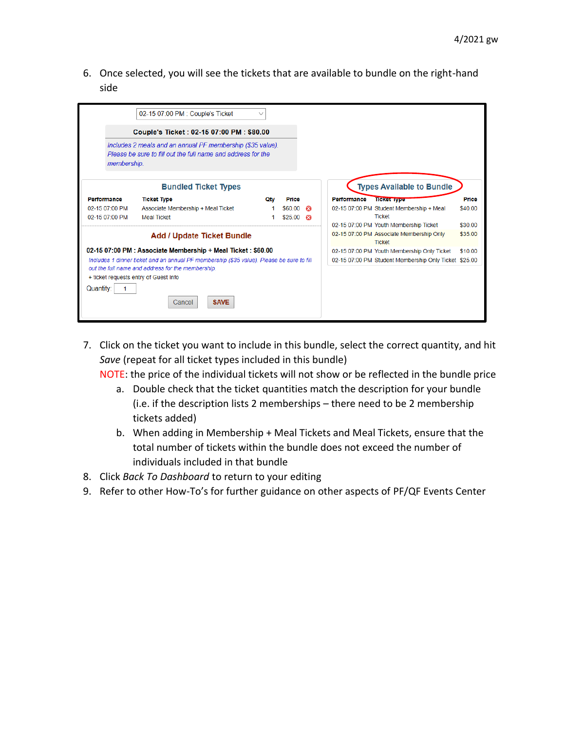6. Once selected, you will see the tickets that are available to bundle on the right-hand side

|                                                    | 02-15 07:00 PM : Couple's Ticket                                                                                                                                        | $\checkmark$ |         |   |                                                                                                     |                    |
|----------------------------------------------------|-------------------------------------------------------------------------------------------------------------------------------------------------------------------------|--------------|---------|---|-----------------------------------------------------------------------------------------------------|--------------------|
|                                                    | Couple's Ticket: 02-15 07:00 PM: \$80.00                                                                                                                                |              |         |   |                                                                                                     |                    |
| membership.                                        | Includes 2 meals and an annual PF membership (\$35 value).<br>Please be sure to fill out the full name and address for the                                              |              |         |   |                                                                                                     |                    |
|                                                    | <b>Bundled Ticket Types</b>                                                                                                                                             |              |         |   | <b>Types Available to Bundle</b>                                                                    |                    |
| Performance                                        | <b>Ticket Type</b>                                                                                                                                                      | Otv          | Price   |   | Performance<br><b>TICKET IVPE</b>                                                                   | Price              |
| 02-15 07:00 PM                                     | Associate Membership + Meal Ticket                                                                                                                                      |              | \$60.00 | ⊛ | 02-15 07:00 PM Student Membership + Meal                                                            | \$40.00            |
| 02-15 07:00 PM                                     | <b>Meal Ticket</b>                                                                                                                                                      |              | \$25.00 | ☎ | <b>Ticket</b>                                                                                       |                    |
|                                                    | <b>Add / Update Ticket Bundle</b>                                                                                                                                       |              |         |   | 02-15 07:00 PM Youth Membership Ticket<br>02-15 07:00 PM Associate Membership Only<br><b>Ticket</b> | \$30.00<br>\$35.00 |
|                                                    | 02-15 07:00 PM : Associate Membership + Meal Ticket : \$60.00                                                                                                           |              |         |   | 02-15 07:00 PM Youth Membership Only Ticket                                                         | \$10.00            |
| + ticket requests entry of Guest Info<br>Quantity: | Includes 1 dinner ticket and an annual PF membership (\$35 value). Please be sure to fill<br>out the full name and address for the membership.<br><b>SAVE</b><br>Cancel |              |         |   | 02-15 07:00 PM Student Membership Only Ticket \$25.00                                               |                    |

7. Click on the ticket you want to include in this bundle, select the correct quantity, and hit *Save* (repeat for all ticket types included in this bundle)

NOTE: the price of the individual tickets will not show or be reflected in the bundle price

- a. Double check that the ticket quantities match the description for your bundle (i.e. if the description lists 2 memberships – there need to be 2 membership tickets added)
- b. When adding in Membership + Meal Tickets and Meal Tickets, ensure that the total number of tickets within the bundle does not exceed the number of individuals included in that bundle
- 8. Click *Back To Dashboard* to return to your editing
- 9. Refer to other How-To's for further guidance on other aspects of PF/QF Events Center